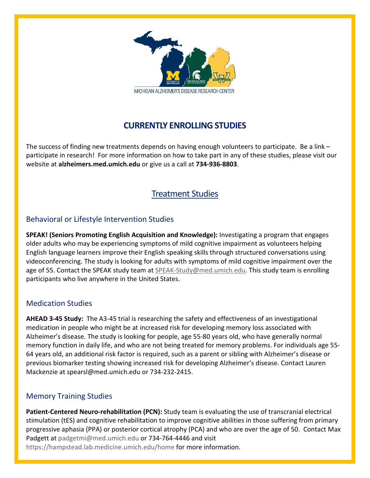

# **CURRENTLY ENROLLING STUDIES**

The success of finding new treatments depends on having enough volunteers to participate. Be a link – participate in research! For more information on how to take part in any of these studies, please visit our website at **alzheimers.med.umich.edu** or give us a call at **734-936-8803**.

## Treatment Studies

## Behavioral or Lifestyle Intervention Studies

**SPEAK! (Seniors Promoting English Acquisition and Knowledge):** Investigating a program that engages older adults who may be experiencing symptoms of mild cognitive impairment as volunteers helping English language learners improve their English speaking skills through structured conversations using videoconferencing. The study is looking for adults with symptoms of mild cognitive impairment over the age of 55. Contact the SPEAK study team at [SPEAK-Study@med.umich.edu.](mailto:SPEAK-Study@med.umich.edu) This study team is enrolling participants who live anywhere in the United States.

#### Medication Studies

**AHEAD 3-45 Study:** The A3-45 trial is researching the safety and effectiveness of an investigational medication in people who might be at increased risk for developing memory loss associated with Alzheimer's disease. The study is looking for people, age 55-80 years old, who have generally normal memory function in daily life, and who are not being treated for memory problems. For individuals age 55- 64 years old, an additional risk factor is required, such as a parent or sibling with Alzheimer's disease or previous biomarker testing showing increased risk for developing Alzheimer's disease. Contact Lauren Mackenzie a[t spearsl@med.umich.edu](mailto:spearsl@med.umich.edu) or 734-232-2415.

## Memory Training Studies

**Patient-Centered Neuro-rehabilitation (PCN):** Study team is evaluating the use of transcranial electrical stimulation (tES) and cognitive rehabilitation to improve cognitive abilities in those suffering from primary progressive aphasia (PPA) or posterior cortical atrophy (PCA) and who are over the age of 50. Contact Max Padgett at [padgetmi@med.umich.edu](mailto:padgetmi@med.umich.edu) or 734-764-4446 and visit <https://hampstead.lab.medicine.umich.edu/home> for more information.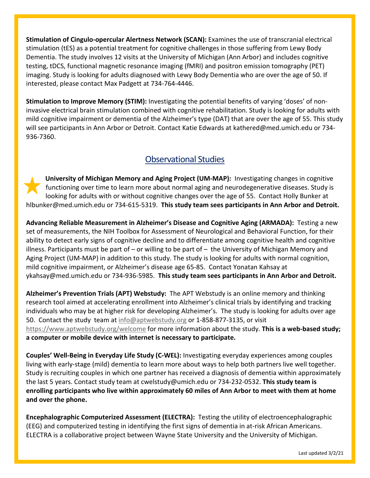**Stimulation of Cingulo-opercular Alertness Network (SCAN):** Examines the use of transcranial electrical stimulation (tES) as a potential treatment for cognitive challenges in those suffering from Lewy Body Dementia. The study involves 12 visits at the University of Michigan (Ann Arbor) and includes cognitive testing, tDCS, functional magnetic resonance imaging (fMRI) and positron emission tomography (PET) imaging. Study is looking for adults diagnosed with Lewy Body Dementia who are over the age of 50. If interested, please contact Max Padgett at 734-764-4446.

**Stimulation to Improve Memory (STIM):** Investigating the potential benefits of varying 'doses' of noninvasive electrical brain stimulation combined with cognitive rehabilitation. Study is looking for adults with mild cognitive impairment or dementia of the Alzheimer's type (DAT) that are over the age of 55. This study will see participants in Ann Arbor or Detroit. Contact Katie Edwards at kathered@med.umich.edu or 734- 936-7360.

## Observational Studies

**University of Michigan Memory and Aging Project (UM-MAP):** Investigating changes in cognitive functioning over time to learn more about normal aging and neurodegenerative diseases. Study is looking for adults with or without cognitive changes over the age of 55. Contact Holly Bunker at hlbunker@med.umich.edu or 734-615-5319. **This study team sees participants in Ann Arbor and Detroit.**

**Advancing Reliable Measurement in Alzheimer's Disease and Cognitive Aging (ARMADA):** Testing a new set of measurements, the NIH Toolbox for Assessment of Neurological and Behavioral Function, for their ability to detect early signs of cognitive decline and to differentiate among cognitive health and cognitive illness. Participants must be part of  $-$  or willing to be part of  $-$  the University of Michigan Memory and Aging Project (UM-MAP) in addition to this study. The study is looking for adults with normal cognition, mild cognitive impairment, or Alzheimer's disease age 65-85. Contact Yonatan Kahsay at ykahsay@med.umich.edu or 734-936-5985. **This study team sees participants in Ann Arbor and Detroit.**

**Alzheimer's Prevention Trials (APT) Webstudy:** The APT Webstudy is an online memory and thinking research tool aimed at accelerating enrollment into Alzheimer's clinical trials by identifying and tracking individuals who may be at higher risk for developing Alzheimer's. The study is looking for adults over age 50. Contact the study team at [info@aptwebstudy.org](mailto:info@aptwebstudy.org) or 1-858-877-3135, or visit <https://www.aptwebstudy.org/welcome> for more information about the study. **This is a web-based study; a computer or mobile device with internet is necessary to participate.**

**Couples' Well-Being in Everyday Life Study (C-WEL):** Investigating everyday experiences among couples living with early-stage (mild) dementia to learn more about ways to help both partners live well together. Study is recruiting couples in which one partner has received a diagnosis of dementia within approximately the last 5 years. Contact study team at cwelstudy@umich.edu or 734-232-0532. **This study team is enrolling participants who live within approximately 60 miles of Ann Arbor to meet with them at home and over the phone.**

**Encephalographic Computerized Assessment (ELECTRA):** Testing the utility of electroencephalographic (EEG) and computerized testing in identifying the first signs of dementia in at-risk African Americans. ELECTRA is a collaborative project between Wayne State University and the University of Michigan.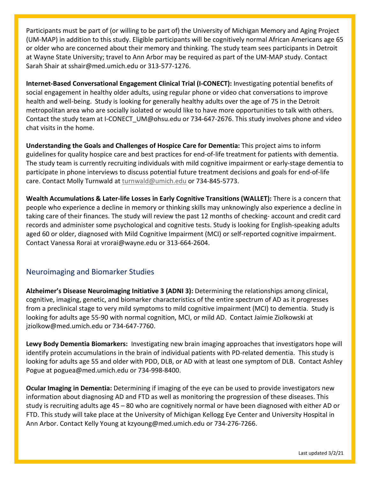Participants must be part of (or willing to be part of) the University of Michigan Memory and Aging Project (UM-MAP) in addition to this study. Eligible participants will be cognitively normal African Americans age 65 or older who are concerned about their memory and thinking. The study team sees participants in Detroit at Wayne State University; travel to Ann Arbor may be required as part of the UM-MAP study. Contact Sarah Shair at sshair@med.umich.edu or 313-577-1276.

**Internet-Based Conversational Engagement Clinical Trial (I-CONECT):** Investigating potential benefits of social engagement in healthy older adults, using regular phone or video chat conversations to improve health and well-being. Study is looking for generally healthy adults over the age of 75 in the Detroit metropolitan area who are socially isolated or would like to have more opportunities to talk with others. Contact the study team at I-CONECT\_UM@ohsu.edu or 734-647-2676. This study involves phone and video chat visits in the home.

**Understanding the Goals and Challenges of Hospice Care for Dementia:** This project aims to inform guidelines for quality hospice care and best practices for end-of-life treatment for patients with dementia. The study team is currently recruiting individuals with mild cognitive impairment or early-stage dementia to participate in phone interviews to discuss potential future treatment decisions and goals for end-of-life care. Contact Molly Turnwald at [turnwald@umich.edu](mailto:turnwald@umich.edu) or 734-845-5773.

**Wealth Accumulations & Later-life Losses in Early Cognitive Transitions (WALLET):** There is a concern that people who experience a decline in memory or thinking skills may unknowingly also experience a decline in taking care of their finances. The study will review the past 12 months of checking- account and credit card records and administer some psychological and cognitive tests. Study is looking for English-speaking adults aged 60 or older, diagnosed with Mild Cognitive Impairment (MCI) or self-reported cognitive impairment. Contact Vanessa Rorai at [vrorai@wayne.edu](mailto:vrorai@wayne.edu) or 313-664-2604.

## Neuroimaging and Biomarker Studies

**Alzheimer's Disease Neuroimaging Initiative 3 (ADNI 3):** Determining the relationships among clinical, cognitive, imaging, genetic, and biomarker characteristics of the entire spectrum of AD as it progresses from a preclinical stage to very mild symptoms to mild cognitive impairment (MCI) to dementia. Study is looking for adults age 55-90 with normal cognition, MCI, or mild AD. Contact Jaimie Ziolkowski at jziolkow@med.umich.edu or 734-647-7760.

**Lewy Body Dementia Biomarkers:** Investigating new brain imaging approaches that investigators hope will identify protein accumulations in the brain of individual patients with PD-related dementia. This study is looking for adults age 55 and older with PDD, DLB, or AD with at least one symptom of DLB. Contact Ashley Pogue at poguea@med.umich.edu or 734-998-8400.

**Ocular Imaging in Dementia:** Determining if imaging of the eye can be used to provide investigators new information about diagnosing AD and FTD as well as monitoring the progression of these diseases. This study is recruiting adults age 45 – 80 who are cognitively normal or have been diagnosed with either AD or FTD. This study will take place at the University of Michigan Kellogg Eye Center and University Hospital in Ann Arbor. Contact Kelly Young at kzyoung@med.umich.edu or 734-276-7266.